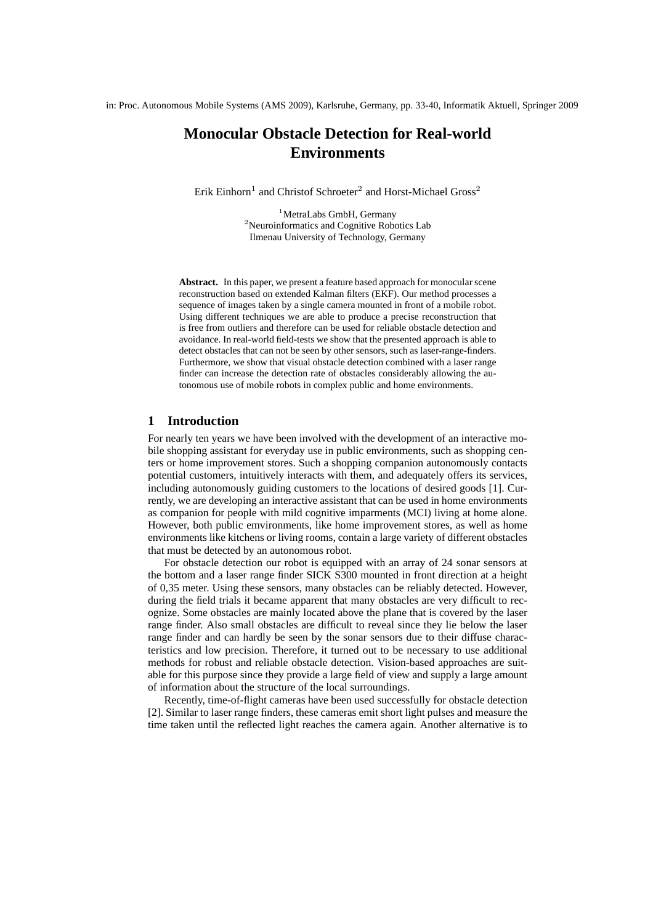# **Monocular Obstacle Detection for Real-world Environments**

Erik Einhorn<sup>1</sup> and Christof Schroeter<sup>2</sup> and Horst-Michael Gross<sup>2</sup>

<sup>1</sup>MetraLabs GmbH, Germany <sup>2</sup>Neuroinformatics and Cognitive Robotics Lab Ilmenau University of Technology, Germany

**Abstract.** In this paper, we present a feature based approach for monocular scene reconstruction based on extended Kalman filters (EKF). Our method processes a sequence of images taken by a single camera mounted in front of a mobile robot. Using different techniques we are able to produce a precise reconstruction that is free from outliers and therefore can be used for reliable obstacle detection and avoidance. In real-world field-tests we show that the presented approach is able to detect obstacles that can not be seen by other sensors, such as laser-range-finders. Furthermore, we show that visual obstacle detection combined with a laser range finder can increase the detection rate of obstacles considerably allowing the autonomous use of mobile robots in complex public and home environments.

## **1 Introduction**

For nearly ten years we have been involved with the development of an interactive mobile shopping assistant for everyday use in public environments, such as shopping centers or home improvement stores. Such a shopping companion autonomously contacts potential customers, intuitively interacts with them, and adequately offers its services, including autonomously guiding customers to the locations of desired goods [1]. Currently, we are developing an interactive assistant that can be used in home environments as companion for people with mild cognitive imparments (MCI) living at home alone. However, both public emvironments, like home improvement stores, as well as home environments like kitchens or living rooms, contain a large variety of different obstacles that must be detected by an autonomous robot.

For obstacle detection our robot is equipped with an array of 24 sonar sensors at the bottom and a laser range finder SICK S300 mounted in front direction at a height of 0,35 meter. Using these sensors, many obstacles can be reliably detected. However, during the field trials it became apparent that many obstacles are very difficult to recognize. Some obstacles are mainly located above the plane that is covered by the laser range finder. Also small obstacles are difficult to reveal since they lie below the laser range finder and can hardly be seen by the sonar sensors due to their diffuse characteristics and low precision. Therefore, it turned out to be necessary to use additional methods for robust and reliable obstacle detection. Vision-based approaches are suitable for this purpose since they provide a large field of view and supply a large amount of information about the structure of the local surroundings.

Recently, time-of-flight cameras have been used successfully for obstacle detection [2]. Similar to laser range finders, these cameras emit short light pulses and measure the time taken until the reflected light reaches the camera again. Another alternative is to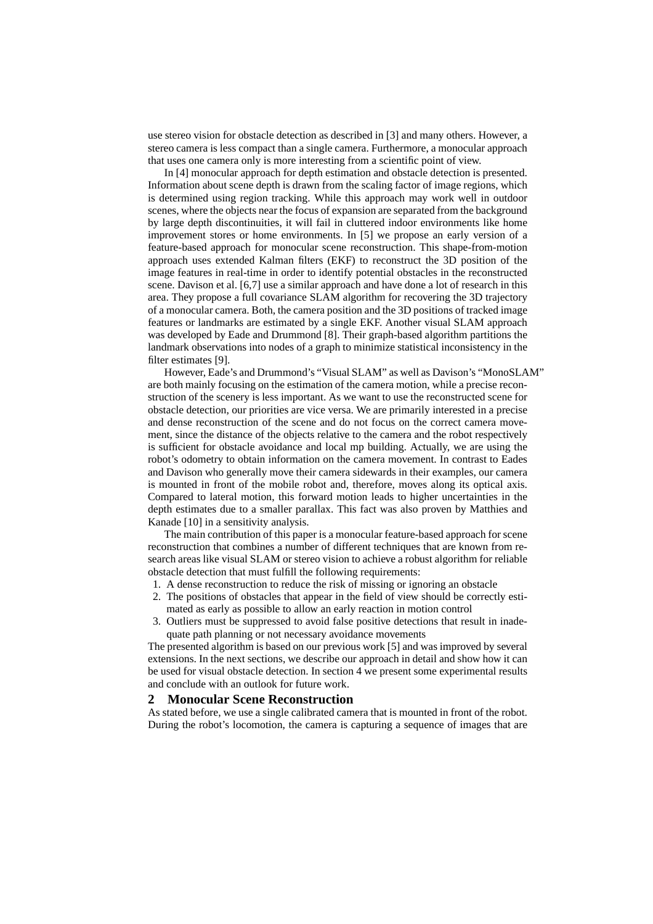use stereo vision for obstacle detection as described in [3] and many others. However, a stereo camera is less compact than a single camera. Furthermore, a monocular approach that uses one camera only is more interesting from a scientific point of view.

In [4] monocular approach for depth estimation and obstacle detection is presented. Information about scene depth is drawn from the scaling factor of image regions, which is determined using region tracking. While this approach may work well in outdoor scenes, where the objects near the focus of expansion are separated from the background by large depth discontinuities, it will fail in cluttered indoor environments like home improvement stores or home environments. In [5] we propose an early version of a feature-based approach for monocular scene reconstruction. This shape-from-motion approach uses extended Kalman filters (EKF) to reconstruct the 3D position of the image features in real-time in order to identify potential obstacles in the reconstructed scene. Davison et al. [6,7] use a similar approach and have done a lot of research in this area. They propose a full covariance SLAM algorithm for recovering the 3D trajectory of a monocular camera. Both, the camera position and the 3D positions of tracked image features or landmarks are estimated by a single EKF. Another visual SLAM approach was developed by Eade and Drummond [8]. Their graph-based algorithm partitions the landmark observations into nodes of a graph to minimize statistical inconsistency in the filter estimates [9].

However, Eade's and Drummond's "Visual SLAM" as well as Davison's "MonoSLAM" are both mainly focusing on the estimation of the camera motion, while a precise reconstruction of the scenery is less important. As we want to use the reconstructed scene for obstacle detection, our priorities are vice versa. We are primarily interested in a precise and dense reconstruction of the scene and do not focus on the correct camera movement, since the distance of the objects relative to the camera and the robot respectively is sufficient for obstacle avoidance and local mp building. Actually, we are using the robot's odometry to obtain information on the camera movement. In contrast to Eades and Davison who generally move their camera sidewards in their examples, our camera is mounted in front of the mobile robot and, therefore, moves along its optical axis. Compared to lateral motion, this forward motion leads to higher uncertainties in the depth estimates due to a smaller parallax. This fact was also proven by Matthies and Kanade [10] in a sensitivity analysis.

The main contribution of this paper is a monocular feature-based approach for scene reconstruction that combines a number of different techniques that are known from research areas like visual SLAM or stereo vision to achieve a robust algorithm for reliable obstacle detection that must fulfill the following requirements:

- 1. A dense reconstruction to reduce the risk of missing or ignoring an obstacle
- 2. The positions of obstacles that appear in the field of view should be correctly estimated as early as possible to allow an early reaction in motion control
- 3. Outliers must be suppressed to avoid false positive detections that result in inadequate path planning or not necessary avoidance movements

The presented algorithm is based on our previous work [5] and was improved by several extensions. In the next sections, we describe our approach in detail and show how it can be used for visual obstacle detection. In section 4 we present some experimental results and conclude with an outlook for future work.

## **2 Monocular Scene Reconstruction**

As stated before, we use a single calibrated camera that is mounted in front of the robot. During the robot's locomotion, the camera is capturing a sequence of images that are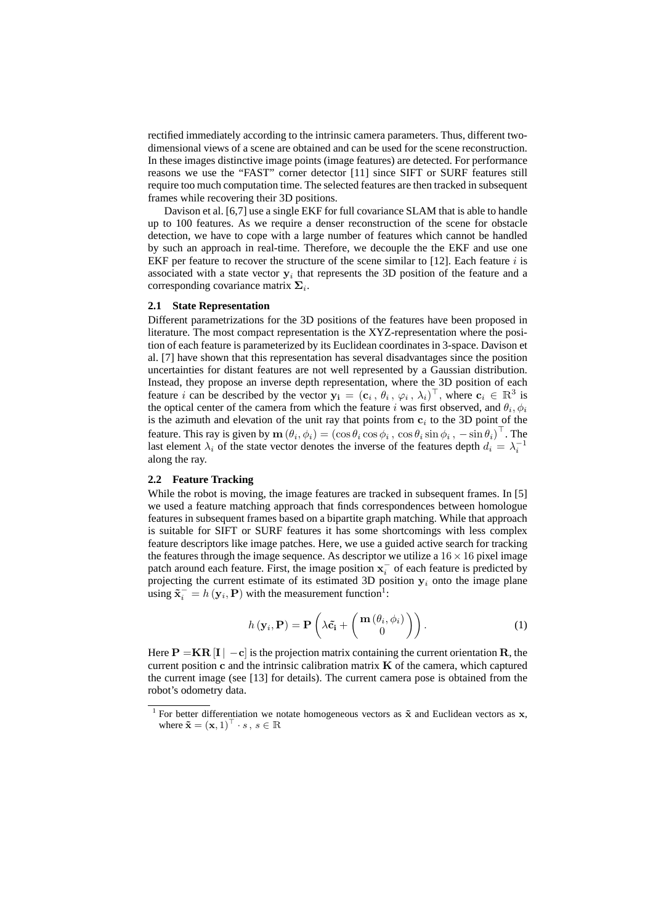rectified immediately according to the intrinsic camera parameters. Thus, different twodimensional views of a scene are obtained and can be used for the scene reconstruction. In these images distinctive image points (image features) are detected. For performance reasons we use the "FAST" corner detector [11] since SIFT or SURF features still require too much computation time. The selected features are then tracked in subsequent frames while recovering their 3D positions.

Davison et al. [6,7] use a single EKF for full covariance SLAM that is able to handle up to 100 features. As we require a denser reconstruction of the scene for obstacle detection, we have to cope with a large number of features which cannot be handled by such an approach in real-time. Therefore, we decouple the the EKF and use one EKF per feature to recover the structure of the scene similar to  $[12]$ . Each feature i is associated with a state vector  $y_i$  that represents the 3D position of the feature and a corresponding covariance matrix  $\Sigma_i$ .

#### **2.1 State Representation**

Different parametrizations for the 3D positions of the features have been proposed in literature. The most compact representation is the XYZ-representation where the position of each feature is parameterized by its Euclidean coordinates in 3-space. Davison et al. [7] have shown that this representation has several disadvantages since the position uncertainties for distant features are not well represented by a Gaussian distribution. Instead, they propose an inverse depth representation, where the 3D position of each feature *i* can be described by the vector  $\mathbf{y_i} = (\mathbf{c}_i, \theta_i, \varphi_i, \lambda_i)^\top$ , where  $\mathbf{c}_i \in \mathbb{R}^3$  is the optical center of the camera from which the feature i was first observed, and  $\theta_i, \phi_i$ is the azimuth and elevation of the unit ray that points from  $c_i$  to the 3D point of the feature. This ray is given by  $\mathbf{m}(\theta_i, \phi_i) = (\cos \theta_i \cos \phi_i, \cos \theta_i \sin \phi_i, -\sin \theta_i)^\top$ . The last element  $\lambda_i$  of the state vector denotes the inverse of the features depth  $d_i = \lambda_i^{-1}$ along the ray.

#### **2.2 Feature Tracking**

While the robot is moving, the image features are tracked in subsequent frames. In [5] we used a feature matching approach that finds correspondences between homologue features in subsequent frames based on a bipartite graph matching. While that approach is suitable for SIFT or SURF features it has some shortcomings with less complex feature descriptors like image patches. Here, we use a guided active search for tracking the features through the image sequence. As descriptor we utilize a  $16 \times 16$  pixel image patch around each feature. First, the image position  $x_i^-$  of each feature is predicted by projecting the current estimate of its estimated 3D position  $y_i$  onto the image plane using  $\tilde{\mathbf{x}}_i = h(\mathbf{y}_i, \mathbf{P})$  with the measurement function<sup>1</sup>:

$$
h(\mathbf{y}_i, \mathbf{P}) = \mathbf{P}\left(\lambda \tilde{\mathbf{c}}_i + \begin{pmatrix} \mathbf{m}\left(\theta_i, \phi_i\right) \\ 0 \end{pmatrix}\right). \tag{1}
$$

Here  $P = KR |I| - c$  is the projection matrix containing the current orientation R, the current position  $c$  and the intrinsic calibration matrix  $K$  of the camera, which captured the current image (see [13] for details). The current camera pose is obtained from the robot's odometry data.

<sup>&</sup>lt;sup>1</sup> For better differentiation we notate homogeneous vectors as  $\tilde{\mathbf{x}}$  and Euclidean vectors as  $\mathbf{x}$ , where  $\tilde{\mathbf{x}} = (\mathbf{x}, 1)^\top \cdot s, s \in \mathbb{R}$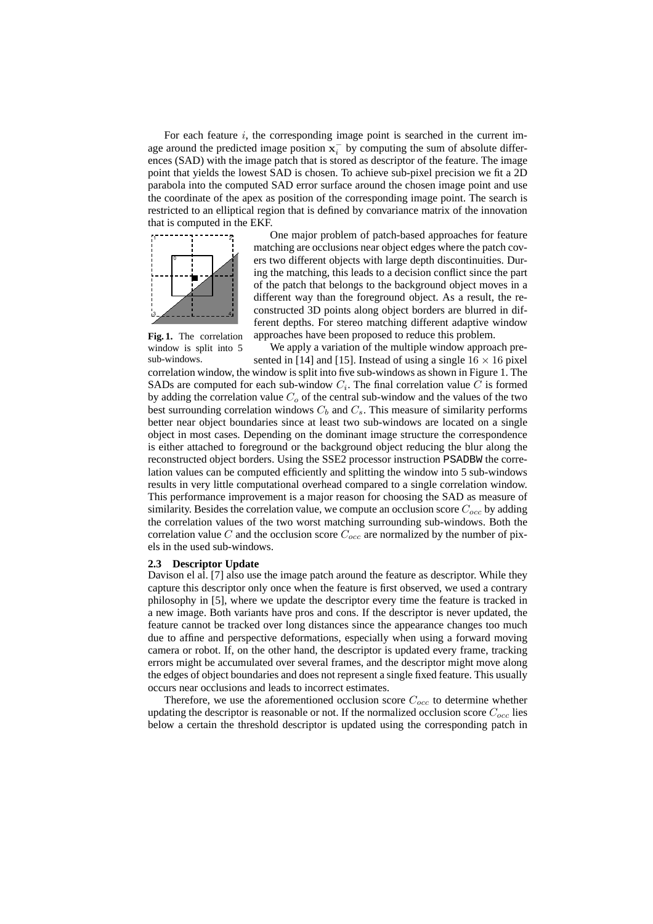For each feature  $i$ , the corresponding image point is searched in the current image around the predicted image position  $x_i^-$  by computing the sum of absolute differences (SAD) with the image patch that is stored as descriptor of the feature. The image point that yields the lowest SAD is chosen. To achieve sub-pixel precision we fit a 2D parabola into the computed SAD error surface around the chosen image point and use the coordinate of the apex as position of the corresponding image point. The search is restricted to an elliptical region that is defined by convariance matrix of the innovation that is computed in the EKF.



One major problem of patch-based approaches for feature matching are occlusions near object edges where the patch covers two different objects with large depth discontinuities. During the matching, this leads to a decision conflict since the part of the patch that belongs to the background object moves in a different way than the foreground object. As a result, the reconstructed 3D points along object borders are blurred in different depths. For stereo matching different adaptive window approaches have been proposed to reduce this problem.

**Fig. 1.** The correlation window is split into 5

sub-windows. We apply a variation of the multiple window approach presented in [14] and [15]. Instead of using a single  $16 \times 16$  pixel correlation window, the window is split into five sub-windows as shown in Figure 1. The SADs are computed for each sub-window  $C_i$ . The final correlation value C is formed by adding the correlation value  $C<sub>o</sub>$  of the central sub-window and the values of the two best surrounding correlation windows  $C_b$  and  $C_s$ . This measure of similarity performs better near object boundaries since at least two sub-windows are located on a single object in most cases. Depending on the dominant image structure the correspondence is either attached to foreground or the background object reducing the blur along the reconstructed object borders. Using the SSE2 processor instruction PSADBW the correlation values can be computed efficiently and splitting the window into 5 sub-windows results in very little computational overhead compared to a single correlation window. This performance improvement is a major reason for choosing the SAD as measure of similarity. Besides the correlation value, we compute an occlusion score  $C_{occ}$  by adding the correlation values of the two worst matching surrounding sub-windows. Both the correlation value C and the occlusion score  $C_{occ}$  are normalized by the number of pixels in the used sub-windows.

#### **2.3 Descriptor Update**

Davison el al. [7] also use the image patch around the feature as descriptor. While they capture this descriptor only once when the feature is first observed, we used a contrary philosophy in [5], where we update the descriptor every time the feature is tracked in a new image. Both variants have pros and cons. If the descriptor is never updated, the feature cannot be tracked over long distances since the appearance changes too much due to affine and perspective deformations, especially when using a forward moving camera or robot. If, on the other hand, the descriptor is updated every frame, tracking errors might be accumulated over several frames, and the descriptor might move along the edges of object boundaries and does not represent a single fixed feature. This usually occurs near occlusions and leads to incorrect estimates.

Therefore, we use the aforementioned occlusion score  $C_{occ}$  to determine whether updating the descriptor is reasonable or not. If the normalized occlusion score  $C_{occ}$  lies below a certain the threshold descriptor is updated using the corresponding patch in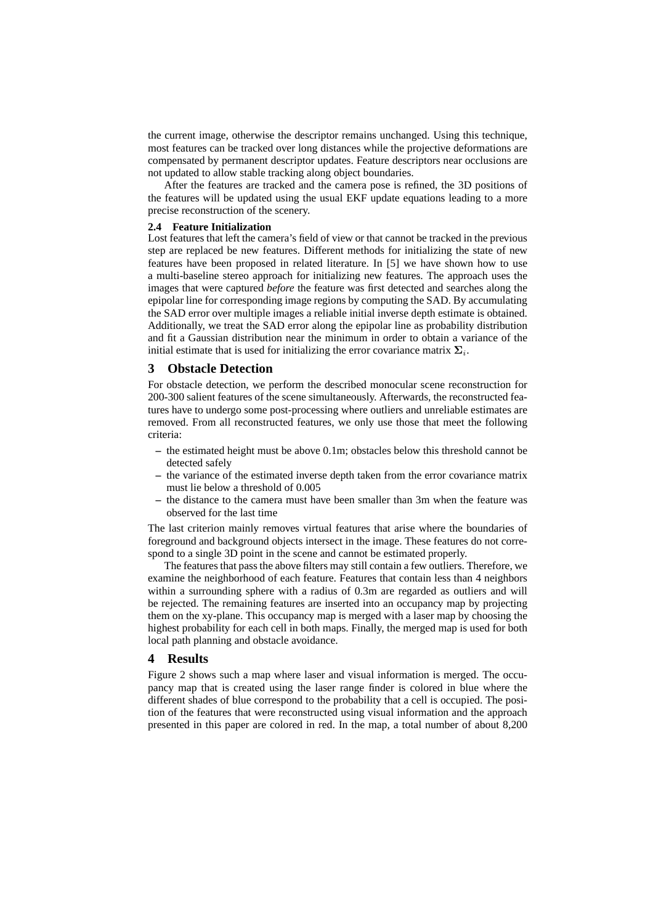the current image, otherwise the descriptor remains unchanged. Using this technique, most features can be tracked over long distances while the projective deformations are compensated by permanent descriptor updates. Feature descriptors near occlusions are not updated to allow stable tracking along object boundaries.

After the features are tracked and the camera pose is refined, the 3D positions of the features will be updated using the usual EKF update equations leading to a more precise reconstruction of the scenery.

#### **2.4 Feature Initialization**

Lost features that left the camera's field of view or that cannot be tracked in the previous step are replaced be new features. Different methods for initializing the state of new features have been proposed in related literature. In [5] we have shown how to use a multi-baseline stereo approach for initializing new features. The approach uses the images that were captured *before* the feature was first detected and searches along the epipolar line for corresponding image regions by computing the SAD. By accumulating the SAD error over multiple images a reliable initial inverse depth estimate is obtained. Additionally, we treat the SAD error along the epipolar line as probability distribution and fit a Gaussian distribution near the minimum in order to obtain a variance of the initial estimate that is used for initializing the error covariance matrix  $\Sigma_i$ .

## **3 Obstacle Detection**

For obstacle detection, we perform the described monocular scene reconstruction for 200-300 salient features of the scene simultaneously. Afterwards, the reconstructed features have to undergo some post-processing where outliers and unreliable estimates are removed. From all reconstructed features, we only use those that meet the following criteria:

- **–** the estimated height must be above 0.1m; obstacles below this threshold cannot be detected safely
- **–** the variance of the estimated inverse depth taken from the error covariance matrix must lie below a threshold of 0.005
- **–** the distance to the camera must have been smaller than 3m when the feature was observed for the last time

The last criterion mainly removes virtual features that arise where the boundaries of foreground and background objects intersect in the image. These features do not correspond to a single 3D point in the scene and cannot be estimated properly.

The features that pass the above filters may still contain a few outliers. Therefore, we examine the neighborhood of each feature. Features that contain less than 4 neighbors within a surrounding sphere with a radius of 0.3m are regarded as outliers and will be rejected. The remaining features are inserted into an occupancy map by projecting them on the xy-plane. This occupancy map is merged with a laser map by choosing the highest probability for each cell in both maps. Finally, the merged map is used for both local path planning and obstacle avoidance.

## **4 Results**

Figure 2 shows such a map where laser and visual information is merged. The occupancy map that is created using the laser range finder is colored in blue where the different shades of blue correspond to the probability that a cell is occupied. The position of the features that were reconstructed using visual information and the approach presented in this paper are colored in red. In the map, a total number of about 8,200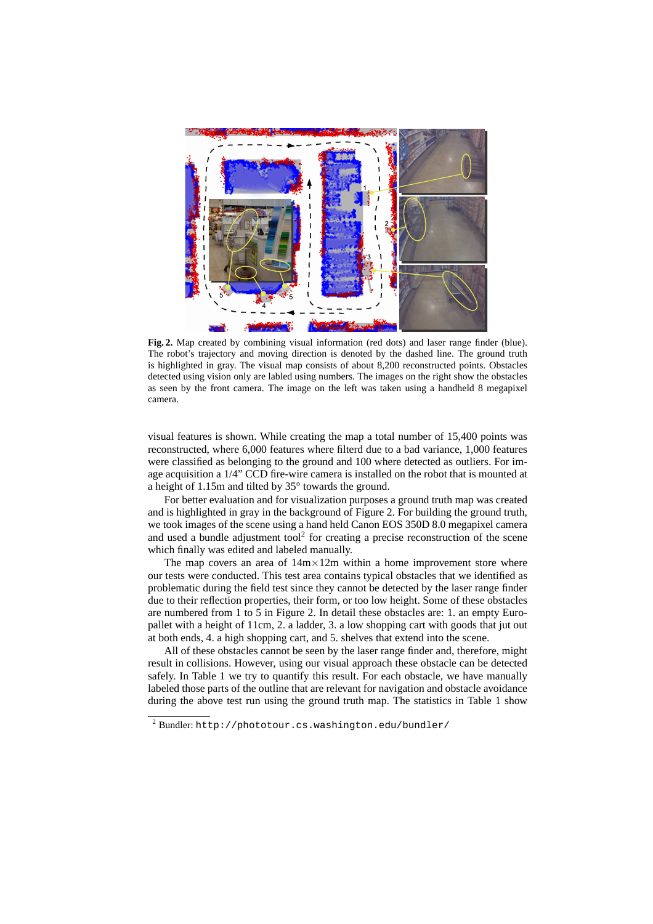

**Fig. 2.** Map created by combining visual information (red dots) and laser range finder (blue). The robot's trajectory and moving direction is denoted by the dashed line. The ground truth is highlighted in gray. The visual map consists of about 8,200 reconstructed points. Obstacles detected using vision only are labled using numbers. The images on the right show the obstacles as seen by the front camera. The image on the left was taken using a handheld 8 megapixel camera.

visual features is shown. While creating the map a total number of 15,400 points was reconstructed, where 6,000 features where filterd due to a bad variance, 1,000 features were classified as belonging to the ground and 100 where detected as outliers. For image acquisition a 1/4" CCD fire-wire camera is installed on the robot that is mounted at a height of 1.15m and tilted by 35° towards the ground.

For better evaluation and for visualization purposes a ground truth map was created and is highlighted in gray in the background of Figure 2. For building the ground truth, we took images of the scene using a hand held Canon EOS 350D 8.0 megapixel camera and used a bundle adjustment tool<sup>2</sup> for creating a precise reconstruction of the scene which finally was edited and labeled manually.

The map covers an area of  $14m \times 12m$  within a home improvement store where our tests were conducted. This test area contains typical obstacles that we identified as problematic during the field test since they cannot be detected by the laser range finder due to their reflection properties, their form, or too low height. Some of these obstacles are numbered from 1 to 5 in Figure 2. In detail these obstacles are: 1. an empty Europallet with a height of 11cm, 2. a ladder, 3. a low shopping cart with goods that jut out at both ends, 4. a high shopping cart, and 5. shelves that extend into the scene.

All of these obstacles cannot be seen by the laser range finder and, therefore, might result in collisions. However, using our visual approach these obstacle can be detected safely. In Table 1 we try to quantify this result. For each obstacle, we have manually labeled those parts of the outline that are relevant for navigation and obstacle avoidance during the above test run using the ground truth map. The statistics in Table 1 show

<sup>2</sup> Bundler: http://phototour.cs.washington.edu/bundler/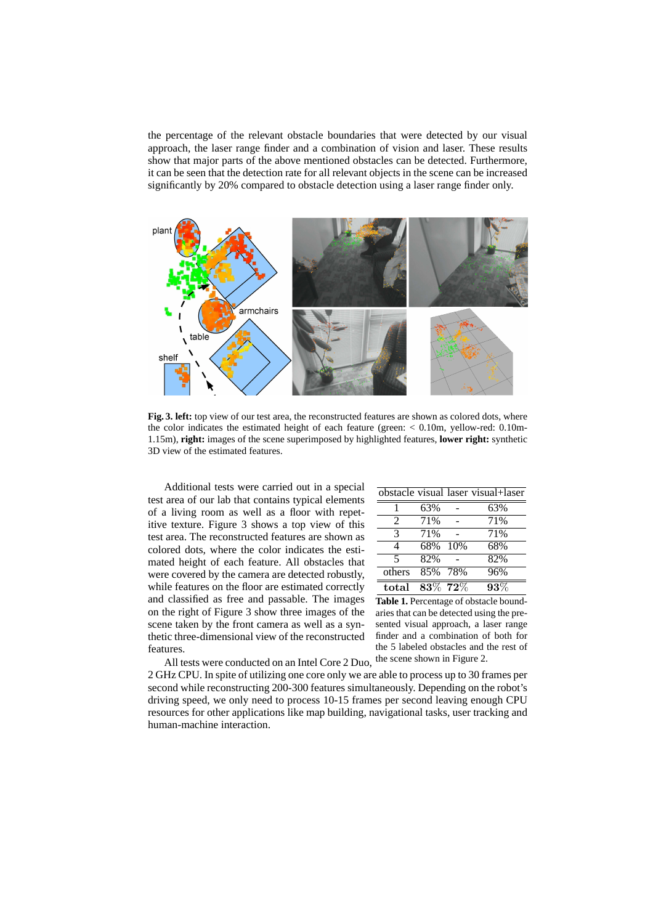the percentage of the relevant obstacle boundaries that were detected by our visual approach, the laser range finder and a combination of vision and laser. These results show that major parts of the above mentioned obstacles can be detected. Furthermore, it can be seen that the detection rate for all relevant objects in the scene can be increased significantly by 20% compared to obstacle detection using a laser range finder only.



**Fig. 3. left:** top view of our test area, the reconstructed features are shown as colored dots, where the color indicates the estimated height of each feature (green: < 0.10m, yellow-red: 0.10m-1.15m), **right:** images of the scene superimposed by highlighted features, **lower right:** synthetic 3D view of the estimated features.

Additional tests were carried out in a special test area of our lab that contains typical elements of a living room as well as a floor with repetitive texture. Figure 3 shows a top view of this test area. The reconstructed features are shown as colored dots, where the color indicates the estimated height of each feature. All obstacles that were covered by the camera are detected robustly, while features on the floor are estimated correctly and classified as free and passable. The images on the right of Figure 3 show three images of the scene taken by the front camera as well as a synthetic three-dimensional view of the reconstructed features.

|               |            | obstacle visual laser visual+laser |
|---------------|------------|------------------------------------|
|               | 63%        | 63%                                |
| $\mathcal{L}$ | 71%        | 71%                                |
| 3             | 71%        | 71%                                |
| 4             | 68% 10%    | 68%                                |
| 5             | 82%        | 82%                                |
| others        | 85% 78%    | 96%                                |
| total         | $83\%$ 72% | $93\%$                             |

**Table 1.** Percentage of obstacle boundaries that can be detected using the presented visual approach, a laser range finder and a combination of both for the 5 labeled obstacles and the rest of

All tests were conducted on an Intel Core 2 Duo, the scene shown in Figure 2. 2 GHz CPU. In spite of utilizing one core only we are able to process up to 30 frames per second while reconstructing 200-300 features simultaneously. Depending on the robot's driving speed, we only need to process 10-15 frames per second leaving enough CPU resources for other applications like map building, navigational tasks, user tracking and human-machine interaction.